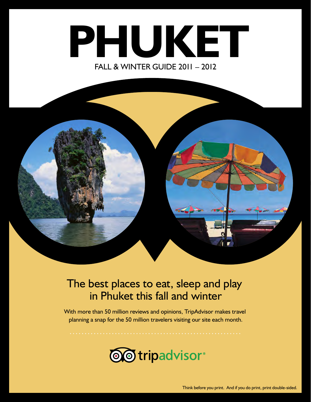# **PHUKET** FALL & WINTER GUIDE 2011 – 2012



#### The best places to eat, sleep and play in Phuket this fall and winter

With more than 50 million reviews and opinions, TripAdvisor makes travel planning a snap for the 50 million travelers visiting our site each month.

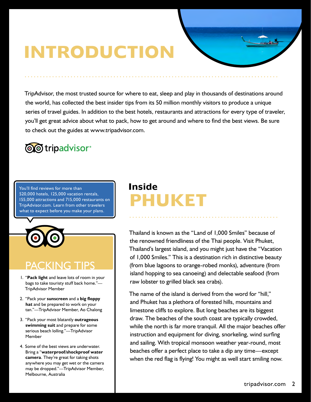# **INTRODUCTION**

TripAdvisor, the most trusted source for where to eat, sleep and play in thousands of destinations around the world, has collected the best insider tips from its 50 million monthly visitors to produce a unique series of travel guides. In addition to the best hotels, restaurants and attractions for every type of traveler, you'll get great advice about what to pack, how to get around and where to find the best views. Be sure to check out the guides at www.tripadvisor.com.

### **@@tripadvisor**®

You'll find reviews for more than 520,000 hotels, 125,000 vacation rentals, 155,000 attractions and 715,000 restaurants on TripAdvisor.com. Learn from other travelers what to expect before you make your plans.



### PACKING TIPS

- 1. "**Pack light** and leave lots of room in your bags to take touristy stuff back home."— TripAdvisor Member
- 2. "Pack your **sunscreen** and a **big floppy hat** and be prepared to work on your tan."—TripAdvisor Member, Ao Chalong
- 3. "Pack your most blatantly **outrageous swimming suit** and prepare for some serious beach lolling."—TripAdvisor Member
- 4. Some of the best views are underwater. Bring a "**waterproof/shockproof water camera**. They're great for taking shots anywhere you may get wet or the camera may be dropped."—TripAdvisor Member, Melbourne, Australia

### **Inside PHUKET**

Thailand is known as the "Land of 1,000 Smiles" because of the renowned friendliness of the Thai people. Visit Phuket, Thailand's largest island, and you might just have the "Vacation of 1,000 Smiles." This is a destination rich in distinctive beauty (from blue lagoons to orange-robed monks), adventure (from island hopping to sea canoeing) and delectable seafood (from raw lobster to grilled black sea crabs).

The name of the island is derived from the word for "hill," and Phuket has a plethora of forested hills, mountains and limestone cliffs to explore. But long beaches are its biggest draw. The beaches of the south coast are typically crowded, while the north is far more tranquil. All the major beaches offer instruction and equipment for diving, snorkeling, wind surfing and sailing. With tropical monsoon weather year-round, most beaches offer a perfect place to take a dip any time—except when the red flag is flying! You might as well start smiling now.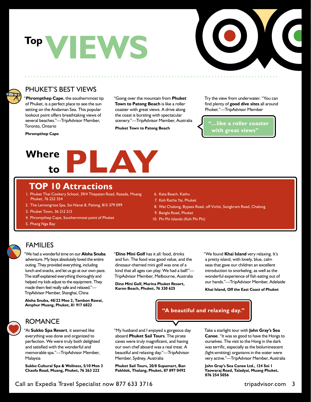



#### PHUKET'S BEST VIEWS

"**Phrompthep Cape**, the southernmost tip of Phuket, is a perfect place to see the sun setting on the Andaman Sea. This popular lookout point offers breathtaking views of several beaches."—TripAdvisor Member, Toronto, Ontario

**Phrompthep Cape**

"Going over the mountain from **Phuket Town to Patong Beach** is like a roller coaster with great views. A drive along the coast is bursting with spectacular scenery."—TripAdvisor Member, Australia

**Phuket Town to Patong Beach**

Try the view from underwater. "You can find plenty of **good dive sites** all around Phuket."—TripAdvisor Member

**"…like a roller coaster with great views"**



#### **TOP 10 Attractions**

- 1. Phuket Thai Cookery School, 39/4 Thepatan Road, Rasada, Muang Phuket, 76 252 354
- 2. The Lemongrass Spa, Soi Nanai 8, Patong, 815 379 099
- 3. Phuket Town, 36 212 213
- 4. Phrompthep Cape, Southernmost point of Phuket
- 5. Phang Nga Bay
- 6. Kata Beach, Kathu
- 7. Koh Racha Yai, Phuket
- 8. Wat Chalong, Bypass Road, off Vichit, Songkram Road, Chalong
- 9. Bangla Road, Phuket
- 10. Phi Phi Islands (Koh Phi Phi)

#### FAMILIES

"We had a wonderful time on our **Aloha Snuba**  adventure. My boys absolutely loved the entire outing. They provided everything, including lunch and snacks, and let us go at our own pace. The staff explained everything thoroughly and helped my kids adjust to the equipment. They made them feel really safe and relaxed."— TripAdvisor Member, Shanghai, China

**Aloha Snuba, 48/22 Moo 2, Tambon Rawai, Amphur Muang, Phuket, 81 917 6822**

"**Dino Mini Golf** has it all: food, drinks and fun. The food was good value, and the dinosaur-themed mini golf was one of a kind that all ages can play. We had a ball!"— TripAdvisor Member, Melbourne, Australia

**Dino Mini Golf, Marina Phuket Resort, Karon Beach, Phuket, 76 330 625**

"We found **Khai Island** very relaxing. It's a pretty island, with lovely, blue, calm seas that gave our children an excellent introduction to snorkeling, as well as the wonderful experience of fish eating out of our hands."—TripAdvisor Member, Adelaide

**Khai Island, Off the East Coast of Phuket**



#### ROMANCE

"At **Sukko Spa Resort**, it seemed like everything was done and organized to perfection. We were truly both delighted and satisfied with the wonderful and memorable spa."—TripAdvisor Member, Malaysia

**Sukko Cultural Spa & Wellness, 5/10 Moo 3 Chaofa Road, Muang, Phuket, 76 263 222**

"My husband and I enjoyed a gorgeous day aboard **Phuket Sail Tours**. The pirate caves were truly magnificent, and having our own chef aboard was a real treat. A beautiful and relaxing day."—TripAdvisor Member, Sydney, Australia

**Phuket Sail Tours, 20/8 Supamart, Ban Pakhlok, Thalang, Phuket, 87 897 0492** Take a starlight tour with **John Gray's Sea Canoe**. "It was so good to have the Hongs to ourselves. The visit to the Hong in the dark was terrific, especially as the bioluminescent (light-emitting) organisms in the water were very active."—TripAdvisor Member, Australia

**John Gray's Sea Canoe Ltd., 124 Soi 1 Yaowaraj Road, Taladyai, Muang Phuket, 076 254 5056**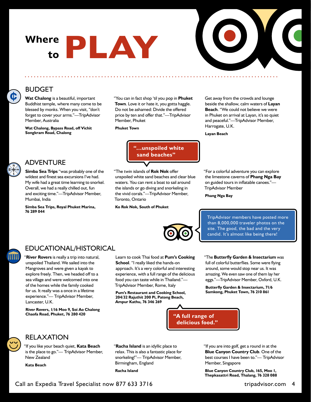# **Where to PLAY**



#### BUDGET

**Wat Chalong** is a beautiful, important Buddhist temple, where many come to be blessed by monks. When you visit, "don't forget to cover your arms."—TripAdvisor Member, Australia

**Wat Chalong, Bypass Road, off Vichit Songkram Road, Chalong**

"You can in fact shop 'til you pop in **Phuket Town**. Love it or hate it, you gotta haggle. Do not be ashamed: Divide the offered price by ten and offer that."—TripAdvisor Member, Phuket

#### **Phuket Town**

**"…unspoiled white sand beaches"**

"The twin islands of **Rok Nok** offer unspoiled white sand beaches and clear blue waters. You can rent a boat to sail around the islands or go diving and snorkeling in the vivid corals."—TripAdvisor Member, Toronto, Ontario

**Ko Rok Nok, South of Phuket**

Get away from the crowds and lounge beside the shallow, calm waters of **Layan Beach**. "We could not believe we were in Phuket on arrival at Layan, it's so quiet and peaceful."—TripAdvisor Member, Harrogate, U.K.

**Layan Beach**



¢

#### ADVENTURE

**Simba Sea Trips** "was probably one of the wildest and finest sea excursions I've had. My wife had a great time learning to snorkel. Overall, we had a really chilled out, fun and exciting time."—TripAdvisor Member, Mumbai, India

**Simba Sea Trips, Royal Phuket Marina, 76 289 044**

on guided tours in inflatable canoes."— TripAdvisor Member **Phang Nga Bay**

"For a colorful adventure you can explore the limestone caverns of **Phang Nga Bay** 

TripAdvisor members have posted more than 8,000,000 traveler photos on the site. The good, the bad and the very candid. It's almost like being there!

#### EDUCATIONAL/HISTORICAL

"**River Rovers** is really a trip into natural, unspoiled Thailand. We sailed into the Mangroves and were given a kayak to explore freely. Then, we headed off to a sea village and were welcomed into one of the homes while the family cooked for us. It really was a once in a lifetime experience."— TripAdvisor Member, Lancaster, U.K.

**River Rovers, 1/16 Moo 9, Soi Ao Chalong Chaofa Road, Phuket, 76 280 420**

Learn to cook Thai food at **Pum's Cooking School**. "I really liked the hands-on approach. It's a very colorful and interesting experience, with a full range of the delicious food you can taste while in Thailand."— TripAdvisor Member, Rome, Italy

**Pum's Restaurant and Cooking School, 204/32 Rajuthit 200 Pi, Patong Beach, Ampur Kathu, 76 346 269**

"The **Butterfly Garden & Insectarium** was full of colorful butterflies. Some were flying around, some would stop near us. It was amazing. We even saw one of them lay her eggs."—TripAdvisor Member, Oxford, U.K.

**Butterfly Garden & Insectarium, 71/6 Samkong, Phuket Town, 76 210 861**





#### RELAXATION

"If you like your beach quiet, **Kata Beach** is the place to go."— TripAdvisor Member, New Zealand

**Kata Beach**

"**Racha Island** is an idyllic place to relax. This is also a fantastic place for snorkeling!"— TripAdvisor Member, Birmingham, England

**Racha Island**

"If you are into golf, get a round in at the **Blue Canyon Country Club**. One of the best courses I have been to."— TripAdvisor Member, Singapore

**Blue Canyon Country Club, 165, Moo 1, Thepkasattri Road, Thalang, 76 328 088**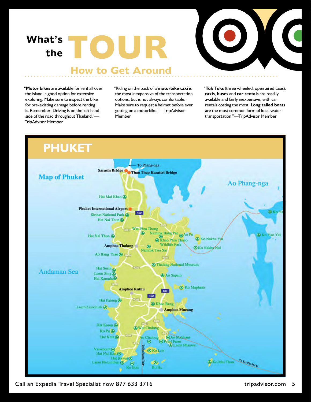### **What's theTOUR**



#### **How to Get Around**

"**Motor bikes** are available for rent all over the island, a good option for extensive exploring. Make sure to inspect the bike for pre-existing damage before renting it. Remember: Driving is on the left hand side of the road throughout Thailand."— TripAdvisor Member

"Riding on the back of a **motorbike taxi** is the most inexpensive of the transportation options, but is not always comfortable. Make sure to request a helmet before ever getting on a motorbike."—TripAdvisor Member

"**Tuk Tuks** (three wheeled, open aired taxis), **taxis**, **buses** and **car rentals** are readily available and fairly inexpensive, with car rentals costing the most. **Long tailed boats** are the most common form of local water transportation."—TripAdvisor Member



Call an Expedia Travel Specialist now 877 633 3716 tripadvisor.com 5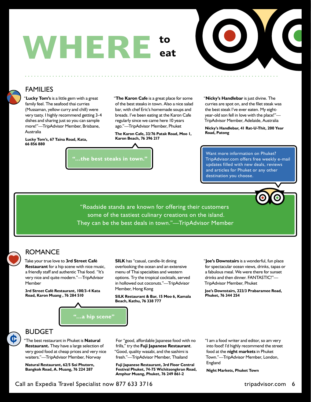### **WHERE to eat**



#### FAMILIES

"**Lucky Tom's** is a little gem with a great family feel. The seafood thai curries (Mussaman, yellow curry and chill) were very tasty. I highly recommend getting 3-4 dishes and sharing just so you can sample more!"—TripAdvisor Member, Brisbane, Australia

**Lucky Tom's, 67 Taina Road, Kata, 66 856 880**

"**The Karon Cafe** is a great place for some of the best steaks in town. Also a nice salad bar, with chef Eric's homemade soups and breads. I've been eating at the Karon Cafe regularly since we came here 10 years ago."—TripAdvisor Member, Phuket

**The Karon Cafe, 33/76 Patak Road, Moo 1, Karon Beach, 76 396 217**

**"…the best steaks in town."**

"**Nicky's Handlebar** is just divine. The curries are spot on, and the filet steak was the best steak I've ever eaten. My eightyear-old son fell in love with the place!"— TripAdvisor Member, Adelaide, Australia

**Nicky's Handlebar, 41 Rat-U-Thit, 200 Year Road, Patong**

Want more information on Phuket? TripAdvisor.com offers free weekly e-mail updates filled with new deals, reviews and articles for Phuket or any other destination you choose.



#### ROMANCE

Take your true love to **3rd Street Café Restaurant** for a hip scene with nice music, a friendly staff and authentic Thai food. "It's very nice and quite modern."—TripAdvisor Member

**3rd Street Café Restaurant, 100/3-4 Kata Road, Karon Muang , 76 284 510**

**SILK** has "casual, candle-lit dining overlooking the ocean and an extensive menu of Thai specialties and western options. Try the tropical cocktails, served in hollowed out coconuts."—TripAdvisor Member, Hong Kong

**SILK Restaurant & Bar, 15 Moo 6, Kamala Beach, Kathu, 76 338 777**

"**Joe's Downstairs** is a wonderful, fun place for spectacular ocean views, drinks, tapas or a fabulous meal. We were there for sunset drinks and then dinner. FANTASTIC!"— TripAdvisor Member, Phuket

**Joe's Downstairs, 223/3 Prabaramee Road, Phuket, 76 344 254**





C

#### BUDGET

"The best restaurant in Phuket is **Natural Restaurant.** They have a large selection of very good food at cheap prices and very nice waiters."—TripAdvisor Member, Norway

**Natural Restaurant, 62/5 Soi Phutorn, Bangkok Road, A. Muang, 76 224 287**

For "good, affordable Japanese food with no frills," try the **Fuji Japanese Restaurant**. "Good, quality wasabi, and the sashimi is fresh."—TripAdvisor Member, Thailand

**Fuji Japanese Restaurant, 3rd Floor Central Festival Phuket, 74-75 Wichitsongkran Road, Amphur Muang, Phuket, 76 249 861-2**

"I am a food writer and editor, so am very into food! I'd highly recommend the street food at the **night markets** in Phuket Town."—TripAdvisor Member, London, England

**Night Markets, Phuket Town**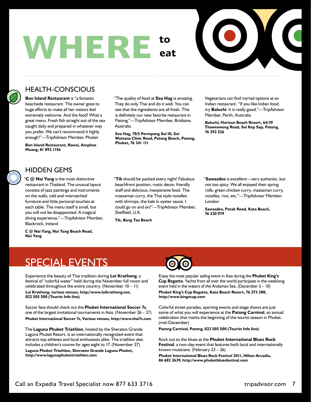### **WHERE to eat**



#### HEALTH-CONSCIOUS

**Bon Island Restaurant** is "a fantastic beachside restaurant. The owner goes to huge efforts to make all her visitors feel extremely welcome. And the food! What a great menu. Fresh fish straight out of the sea caught daily and prepared in whatever way you prefer. We can't recommend it highly enough!"—TripAdvisor Member, Phuket

**Bon Island Restaurant, Rawai, Amphoe Muang, 81 892 1156**

"The quality of food at **Sea Hag** is amazing. They do only Thai and do it well. You can see that the ingredients are all fresh. This is definitely our new favorite restaurant in Patong."—TripAdvisor Member, Brisbane, Australia

**Sea Hag, 78/5 Permpong Soi III, Soi Wattana Clinic Road, Patong Beach, Patong, Phuket, 76 341 111**

Vegetarians can find myriad options at an Indian restaurant. "If you like Indian food, try **Baluchi**. It is really good."—TripAdvisor Member, Perth, Australia

**Baluchi, Horizon Beach Resort, 64/39 Thaweewong Road, Soi Kep Sap, Patong, 76 292 526**

#### HIDDEN GEMS

"**C @ Nai Yang** is the most distinctive restaurant in Thailand. The unusual layout consists of jazz paintings and instruments on the walls, odd and mismatched furniture and little personal touches at each table. The menu itself is small, but you will not be disappointed. A magical dining experience."—TripAdvisor Member, Blackrock, Ireland

**C @ Nai Yang, Nai Yang Beach Road, Nai Yang**

"**Tik** should be packed every night! Fabulous beachfront position, rustic decor, friendly staff and delicious, inexpensive food. The massaman curry, the Thai style noodles with shrimps, the kale in oyster sauce. I could go on and on!"—TripAdvisor Member, Sheffield, U.K.

**Tik, Bang Tao Beach**

"**Sawasdee** is excellent—very authentic, but not too spicy. We all enjoyed their spring rolls, green chicken curry, massaman curry, noodles, rice, etc."—TripAdvisor Member, London

**Sawasdee, Patak Road, Kata Beach, 76 330 979**

#### SPECIAL EVENTS

Experience the beauty of Thai tradition during **Loi Krathong**, a festival of "colorful water" held during the November full moon and celebrated throughout the entire country. (November 10 – 11)

**Loi Krathong, various venues, http://www.loikrathong.net, 022 505 500 (Tourist Info line)**

Soccer fans should check out the **Phuket International Soccer 7s**, one of the largest invitational tournaments in Asia. (November  $26 - 27$ ) **Phuket International Soccer 7s, Various venues, http://www.thai7s.com**

The **Laguna Phuket Triathlon**, hosted by the Sheraton Grande Laguna Phuket Resort, is an internationally recognized event that attracts top athletes and local enthusiasts alike. The triathlon also includes a children's course for ages eight to 17. (November 27)

**Laguna Phuket Triathlon, Sheraton Grande Laguna Phuket, http://www.lagunaphukettriathlon.com**



Enjoy the most popular sailing event in Asia during the **Phuket King's Cup Regatta**. Yachts from all over the world participate in the weeklong event held in the waters of the Andaman Sea. (December 3 – 10)

**Phuket King's Cup Regatta, Kata Beach Resort, 76 273 380, http://www.kingscup.com**

Colorful street parades, sporting events and stage shows are just some of what you will experience at the **Patong Carnival**, an annual celebration that marks the beginning of the tourist season in Phuket. (mid-December)

**Patong Carnival, Patong, 022 505 500 (Tourist Info line)**

Rock out to the blues at the **Phuket International Blues Rock Festival**, a two-day event that features both local and internationally known musicians. (February 23 – 26)

**Phuket International Blues Rock Festival 2011, Hilton Arcadia, 86 682 2639, http://www.phuketbluesfestival.com**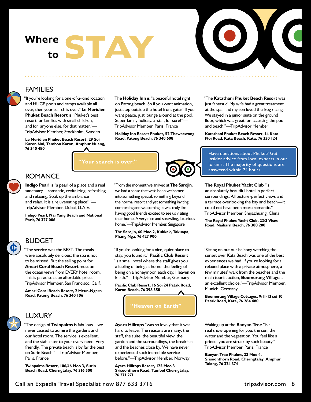### Where **STAY to**

**"Your search is over."**



#### FAMILIES

'If you're looking for a one-of-a-kind location and HUGE pools and ramps available all over, then your search is over." **Le Meridien Phuket Beach Resort** is "Phuket's best resort for families with small children, and for anyone else, for that matter."— TripAdvisor Member, Stockholm, Sweden

**Le Meridien Phuket Beach Resort, 29 Soi Karon Nui, Tambon Karon, Amphur Muang, 76 340 480**

The **Holiday Inn** is "a peaceful hotel right on Patong beach. So if you want animation, just step outside the hotel front gates! If you want peace, just lounge around at the pool. Super family holiday. 5-star, for sure!"— TripAdvisor Member, Paris, France

**Holiday Inn Resort Phuket, 52 Thaweewong Road, Patong Beach, 76 340 608**

#### "The **Katathani Phuket Beach Resort** was

just fantastic! My wife had a great treatment at the spa, and my son loved the frog racing. We stayed in a junior suite on the ground floor, which was great for accessing the pool and beach."—TripAdvisor Member

**Katathani Phuket Beach Resort, 14 Kata Noi Road, Kata Beach, Kata, 76 330 124**

Have questions about Phuket? Get insider advice from local experts in our forums. The majority of questions are answered within 24 hours.

#### ROMANCE

**Indigo Pearl** is "a pearl of a place and a real sanctuary—romantic, revitalizing, refreshing and relaxing. Soak up the ambiance and relax. It is a rejuvenating place!!"— TripAdvisor Member, Dubai, U.A.E.

**Indigo Pearl, Nai Yang Beach and National Park, 76 327 006**

#### BUDGET

"The service was the BEST. The meals were absolutely delicious; the spa is not to be missed. But the selling point for **Amari Coral Beach Resort** must be the ocean views from EVERY hotel room. This is paradise at an affordable price."— TripAdvisor Member, San Francisco, Calif.

**Amari Coral Beach Resort, 2 Meun-Ngern Road, Patong Beach, 76 340 106**



#### LUXURY

"The design of **Twinpalms** is fabulous—we never ceased to admire the gardens and our hotel room. The service is excellent, and the staff cater to your every need. Very friendly. The private beach is by far the best on Surin Beach."—TripAdvisor Member, Paris, France

**Twinpalms Resort, 106/46 Moo 3, Surin Beach Road, Cherngtalay, 76 316 500**

"From the moment we arrived at **The Sarojin**, we had a sense that we'd been welcomed into something special, something beyond the normal resort and yet something inviting, comforting and welcoming. It was truly like having good friends excited to see us visiting their home. A very nice and sprawling, luxurious home."—TripAdvisor Member, Singapore

#### **The Sarojin, 60 Moo 2, Kukkak, Takuapa, Phang Nga, 76 427 900**

"If you're looking for a nice, quiet place to stay, you found it." **Pacific Club Resort** "is a small hotel where the staff gives you a feeling of being at home, the feeling of being on a honeymoon each day. Heaven on Earth."—TripAdvisor Member, Germany

**Pacific Club Resort, 16 Soi 24 Patak Road, Karon Beach, 76 398 350**



**Ayara Hilltops** "was so lovely that it was hard to leave. The reasons are many: the staff, the suite, the beautiful view, the garden and the surroundings, the breakfast and the beaches close by. We have never experienced such incredible service before."—TripAdvisor Member, Norway

**Ayara Hilltops Resort, 125 Moo 3 Srisoonthorn Road, Tambol Cherngtalay, 76 271 271**

#### **The Royal Phuket Yacht Club** "is

an absolutely beautiful hotel in perfect surroundings. All picture-perfect views and a terrace overlooking the bay and beach—it could not have been more romantic."— TripAdvisor Member, Shijiazhuang, China

**The Royal Phuket Yacht Club, 23/3 Vises Road, Naiharn Beach, 76 380 200**

"Sitting on out our balcony watching the sunset over Kata Beach was one of the best experiences we had. If you're looking for a relaxed place with a private atmosphere, a few minutes' walk from the beaches and the main tourist action, **Boomerang Village** is an excellent choice."—TripAdvisor Member, Munich, Germany

**Boomerang Village Cottages, 9/11-13 soi 10 Patak Road, Kata, 76 284 480**

Waking up at the **Banyan Tree** "is a real show opening for you: the sun, the water and the vegetation. You feel like a prince, you are struck by such beauty."— TripAdvisor Member, Paris, France

**Banyan Tree Phuket, 33 Moo 4, Srisoonthorn Road, Cherngtalay, Amphur Talang, 76 324 374**